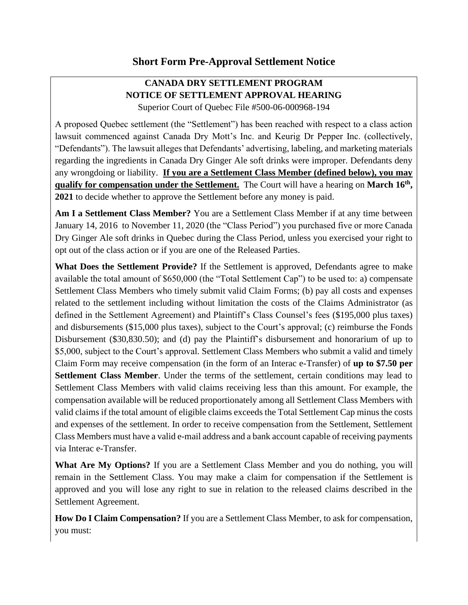## **CANADA DRY SETTLEMENT PROGRAM NOTICE OF SETTLEMENT APPROVAL HEARING** Superior Court of Quebec File #500-06-000968-194

A proposed Quebec settlement (the "Settlement") has been reached with respect to a class action lawsuit commenced against Canada Dry Mott's Inc. and Keurig Dr Pepper Inc. (collectively, "Defendants"). The lawsuit alleges that Defendants' advertising, labeling, and marketing materials regarding the ingredients in Canada Dry Ginger Ale soft drinks were improper. Defendants deny any wrongdoing or liability. **If you are a Settlement Class Member (defined below), you may qualify for compensation under the Settlement.** The Court will have a hearing on **March 16th , 2021** to decide whether to approve the Settlement before any money is paid.

**Am I a Settlement Class Member?** You are a Settlement Class Member if at any time between January 14, 2016 to November 11, 2020 (the "Class Period") you purchased five or more Canada Dry Ginger Ale soft drinks in Quebec during the Class Period, unless you exercised your right to opt out of the class action or if you are one of the Released Parties.

**What Does the Settlement Provide?** If the Settlement is approved, Defendants agree to make available the total amount of \$650,000 (the "Total Settlement Cap") to be used to: a) compensate Settlement Class Members who timely submit valid Claim Forms; (b) pay all costs and expenses related to the settlement including without limitation the costs of the Claims Administrator (as defined in the Settlement Agreement) and Plaintiff's Class Counsel's fees (\$195,000 plus taxes) and disbursements (\$15,000 plus taxes), subject to the Court's approval; (c) reimburse the Fonds Disbursement (\$30,830.50); and (d) pay the Plaintiff's disbursement and honorarium of up to \$5,000, subject to the Court's approval. Settlement Class Members who submit a valid and timely Claim Form may receive compensation (in the form of an Interac e-Transfer) of **up to \$7.50 per Settlement Class Member**. Under the terms of the settlement, certain conditions may lead to Settlement Class Members with valid claims receiving less than this amount. For example, the compensation available will be reduced proportionately among all Settlement Class Members with valid claims if the total amount of eligible claims exceeds the Total Settlement Cap minus the costs and expenses of the settlement. In order to receive compensation from the Settlement, Settlement Class Members must have a valid e-mail address and a bank account capable of receiving payments via Interac e-Transfer.

**What Are My Options?** If you are a Settlement Class Member and you do nothing, you will remain in the Settlement Class. You may make a claim for compensation if the Settlement is approved and you will lose any right to sue in relation to the released claims described in the Settlement Agreement.

**How Do I Claim Compensation?** If you are a Settlement Class Member, to ask for compensation, you must: